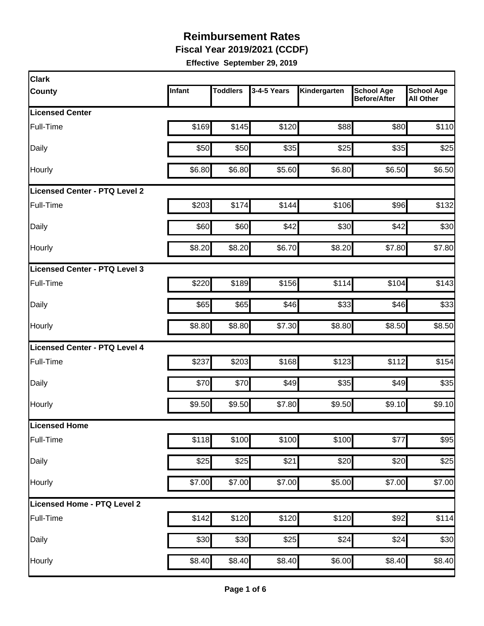**Fiscal Year 2019/2021 (CCDF)** 

| <b>Clark</b>                         |        |                 |                  |                   |                                          |                                       |
|--------------------------------------|--------|-----------------|------------------|-------------------|------------------------------------------|---------------------------------------|
| <b>County</b>                        | Infant | <b>Toddlers</b> | 3-4-5 Years      | Kindergarten      | <b>School Age</b><br><b>Before/After</b> | <b>School Age</b><br><b>All Other</b> |
| <b>Licensed Center</b>               |        |                 |                  |                   |                                          |                                       |
| Full-Time                            | \$169  | \$145           | \$120            | \$88              | \$80                                     | \$110                                 |
| Daily                                | \$50   | \$50            | \$35             | \$25              | \$35                                     | \$25                                  |
| Hourly                               | \$6.80 | \$6.80          | \$5.60           | \$6.80            | \$6.50                                   | \$6.50                                |
| <b>Licensed Center - PTQ Level 2</b> |        |                 |                  |                   |                                          |                                       |
| Full-Time                            | \$203  | \$174           | \$144            | \$106             | \$96                                     | \$132                                 |
| Daily                                | \$60   | \$60            | \$42             | \$30              | \$42                                     | \$30                                  |
| Hourly                               | \$8.20 | \$8.20          | \$6.70           | \$8.20            | \$7.80                                   | \$7.80                                |
| Licensed Center - PTQ Level 3        |        |                 |                  |                   |                                          |                                       |
| Full-Time                            | \$220  | \$189           | \$156            | \$114             | \$104                                    | \$143                                 |
| Daily                                | \$65   | \$65            | \$46             | \$33              | \$46                                     | \$33                                  |
| Hourly                               | \$8.80 | \$8.80          | \$7.30           | \$8.80            | \$8.50                                   | \$8.50                                |
| Licensed Center - PTQ Level 4        |        |                 |                  |                   |                                          |                                       |
| Full-Time                            | \$237  | \$203           | \$168            | \$123             | \$112                                    | \$154                                 |
| Daily                                | \$70   | \$70            | \$49             | \$35              | \$49                                     | \$35                                  |
| Hourly                               | \$9.50 | \$9.50          | \$7.80           | \$9.50            | \$9.10                                   | \$9.10                                |
| Licensed Home                        |        |                 |                  |                   |                                          |                                       |
| Full-Time                            | \$118  | \$100           | \$100            | $\overline{$}100$ | \$77                                     | $\overline{$}95$                      |
| Daily                                | \$25   | \$25            | \$21             | \$20              | \$20                                     | \$25                                  |
| Hourly                               | \$7.00 | \$7.00          | \$7.00           | \$5.00            | \$7.00                                   | \$7.00                                |
| Licensed Home - PTQ Level 2          |        |                 |                  |                   |                                          |                                       |
| Full-Time                            | \$142  | \$120           | \$120            | \$120             | \$92                                     | \$114                                 |
| Daily                                | \$30   | \$30            | $\overline{$}25$ | \$24              | \$24                                     | \$30                                  |
| Hourly                               | \$8.40 | \$8.40          | \$8.40           | \$6.00            | \$8.40                                   | \$8.40                                |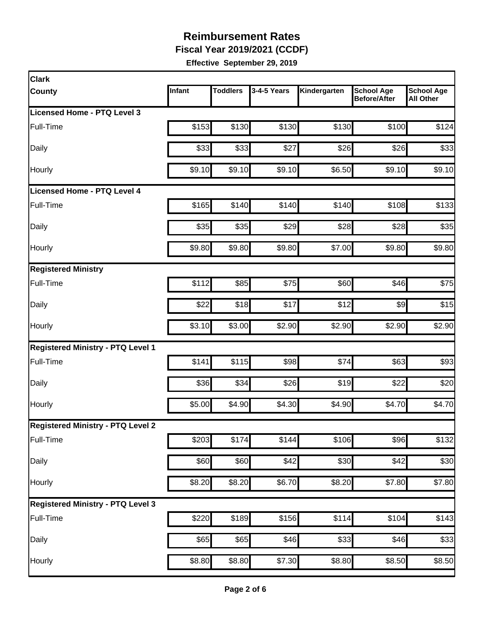**Fiscal Year 2019/2021 (CCDF)** 

| <b>Clark</b>                             |        |                 |                  |              |                                          |                                       |
|------------------------------------------|--------|-----------------|------------------|--------------|------------------------------------------|---------------------------------------|
| County                                   | Infant | <b>Toddlers</b> | 3-4-5 Years      | Kindergarten | <b>School Age</b><br><b>Before/After</b> | <b>School Age</b><br><b>All Other</b> |
| Licensed Home - PTQ Level 3              |        |                 |                  |              |                                          |                                       |
| Full-Time                                | \$153  | \$130           | \$130            | \$130        | \$100                                    | \$124                                 |
| Daily                                    | \$33   | \$33            | \$27             | \$26         | \$26                                     | \$33                                  |
| Hourly                                   | \$9.10 | \$9.10          | \$9.10           | \$6.50       | \$9.10                                   | \$9.10                                |
| Licensed Home - PTQ Level 4              |        |                 |                  |              |                                          |                                       |
| Full-Time                                | \$165  | \$140           | \$140            | \$140        | \$108                                    | \$133                                 |
| Daily                                    | \$35   | \$35            | \$29             | \$28         | \$28                                     | \$35                                  |
| Hourly                                   | \$9.80 | \$9.80          | \$9.80           | \$7.00       | \$9.80                                   | \$9.80                                |
| <b>Registered Ministry</b>               |        |                 |                  |              |                                          |                                       |
| Full-Time                                | \$112  | \$85            | \$75             | \$60         | \$46                                     | \$75                                  |
| Daily                                    | \$22   | \$18            | \$17             | \$12         | \$9                                      | \$15                                  |
| Hourly                                   | \$3.10 | \$3.00          | \$2.90           | \$2.90       | \$2.90                                   | \$2.90                                |
| <b>Registered Ministry - PTQ Level 1</b> |        |                 |                  |              |                                          |                                       |
| Full-Time                                | \$141  | \$115           | \$98             | \$74         | \$63                                     | \$93                                  |
| Daily                                    | \$36   | \$34            | \$26             | \$19         | \$22                                     | \$20                                  |
| Hourly                                   | \$5.00 | \$4.90          | \$4.30           | \$4.90       | \$4.70                                   | \$4.70                                |
| <b>Registered Ministry - PTQ Level 2</b> |        |                 |                  |              |                                          |                                       |
| Full-Time                                | \$203  | \$174           | \$144            | \$106        | \$96                                     | \$132                                 |
| Daily                                    | \$60   | \$60            | \$42             | \$30         | \$42                                     | \$30                                  |
| Hourly                                   | \$8.20 | \$8.20          | \$6.70           | \$8.20       | \$7.80                                   | \$7.80                                |
| <b>Registered Ministry - PTQ Level 3</b> |        |                 |                  |              |                                          |                                       |
| Full-Time                                | \$220  | \$189           | \$156            | \$114        | \$104                                    | \$143                                 |
| Daily                                    | \$65   | \$65            | $\overline{$}46$ | \$33         | \$46                                     | \$33                                  |
| Hourly                                   | \$8.80 | \$8.80          | \$7.30           | \$8.80       | \$8.50                                   | \$8.50                                |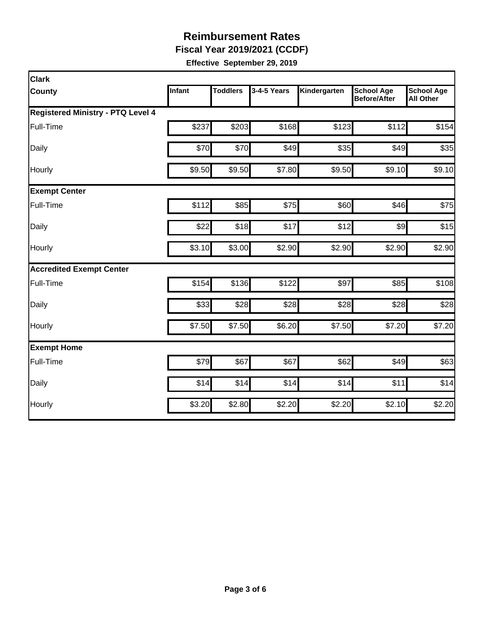**Fiscal Year 2019/2021 (CCDF)** 

| <b>Clark</b>                             |        |                 |             |              |                                          |                                       |  |  |  |
|------------------------------------------|--------|-----------------|-------------|--------------|------------------------------------------|---------------------------------------|--|--|--|
| <b>County</b>                            | Infant | <b>Toddlers</b> | 3-4-5 Years | Kindergarten | <b>School Age</b><br><b>Before/After</b> | <b>School Age</b><br><b>All Other</b> |  |  |  |
| <b>Registered Ministry - PTQ Level 4</b> |        |                 |             |              |                                          |                                       |  |  |  |
| Full-Time                                | \$237  | \$203           | \$168       | \$123        | \$112                                    | \$154                                 |  |  |  |
| Daily                                    | \$70   | \$70            | \$49        | \$35         | \$49                                     | \$35                                  |  |  |  |
| Hourly                                   | \$9.50 | \$9.50          | \$7.80      | \$9.50       | \$9.10                                   | \$9.10                                |  |  |  |
| <b>Exempt Center</b>                     |        |                 |             |              |                                          |                                       |  |  |  |
| Full-Time                                | \$112  | \$85            | \$75        | \$60         | \$46                                     | \$75                                  |  |  |  |
| Daily                                    | \$22   | \$18            | \$17        | \$12         | $\frac{1}{2}$                            | \$15                                  |  |  |  |
| Hourly                                   | \$3.10 | \$3.00          | \$2.90      | \$2.90       | \$2.90                                   | \$2.90                                |  |  |  |
| <b>Accredited Exempt Center</b>          |        |                 |             |              |                                          |                                       |  |  |  |
| Full-Time                                | \$154  | \$136           | \$122       | \$97         | \$85                                     | \$108                                 |  |  |  |
| Daily                                    | \$33   | \$28            | \$28        | \$28         | \$28                                     | \$28                                  |  |  |  |
| Hourly                                   | \$7.50 | \$7.50          | \$6.20      | \$7.50       | \$7.20                                   | \$7.20                                |  |  |  |
| <b>Exempt Home</b>                       |        |                 |             |              |                                          |                                       |  |  |  |
| Full-Time                                | \$79   | \$67            | \$67        | \$62         | \$49                                     | \$63                                  |  |  |  |
| Daily                                    | \$14   | \$14            | \$14        | \$14         | \$11                                     | \$14                                  |  |  |  |
| Hourly                                   | \$3.20 | \$2.80          | \$2.20      | \$2.20       | \$2.10                                   | $\overline{$}2.20$                    |  |  |  |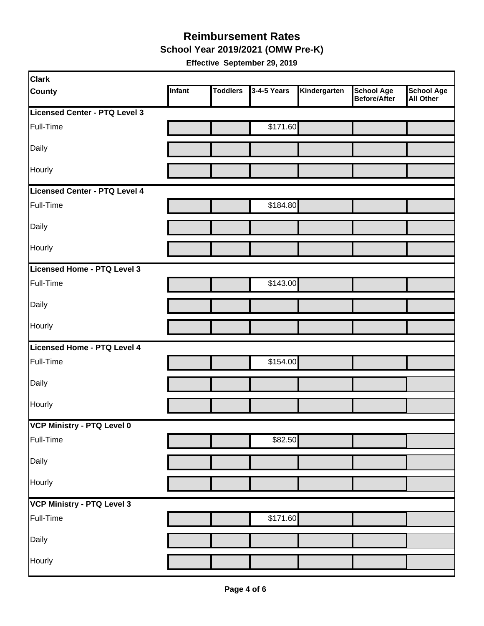#### **Reimbursement Rates School Year 2019/2021 (OMW Pre-K)**

| <b>Clark</b>                      |        |                 |             |              |                                          |                                       |
|-----------------------------------|--------|-----------------|-------------|--------------|------------------------------------------|---------------------------------------|
| <b>County</b>                     | Infant | <b>Toddlers</b> | 3-4-5 Years | Kindergarten | <b>School Age</b><br><b>Before/After</b> | <b>School Age</b><br><b>All Other</b> |
| Licensed Center - PTQ Level 3     |        |                 |             |              |                                          |                                       |
| Full-Time                         |        |                 | \$171.60    |              |                                          |                                       |
| Daily                             |        |                 |             |              |                                          |                                       |
| Hourly                            |        |                 |             |              |                                          |                                       |
| Licensed Center - PTQ Level 4     |        |                 |             |              |                                          |                                       |
| Full-Time                         |        |                 | \$184.80    |              |                                          |                                       |
| Daily                             |        |                 |             |              |                                          |                                       |
| Hourly                            |        |                 |             |              |                                          |                                       |
| Licensed Home - PTQ Level 3       |        |                 |             |              |                                          |                                       |
| Full-Time                         |        |                 | \$143.00    |              |                                          |                                       |
| Daily                             |        |                 |             |              |                                          |                                       |
| Hourly                            |        |                 |             |              |                                          |                                       |
| Licensed Home - PTQ Level 4       |        |                 |             |              |                                          |                                       |
| Full-Time                         |        |                 | \$154.00    |              |                                          |                                       |
| Daily                             |        |                 |             |              |                                          |                                       |
| Hourly                            |        |                 |             |              |                                          |                                       |
| VCP Ministry - PTQ Level 0        |        |                 |             |              |                                          |                                       |
| Full-Time                         |        |                 | \$82.50     |              |                                          |                                       |
| Daily                             |        |                 |             |              |                                          |                                       |
| Hourly                            |        |                 |             |              |                                          |                                       |
| <b>VCP Ministry - PTQ Level 3</b> |        |                 |             |              |                                          |                                       |
| Full-Time                         |        |                 | \$171.60    |              |                                          |                                       |
| Daily                             |        |                 |             |              |                                          |                                       |
| Hourly                            |        |                 |             |              |                                          |                                       |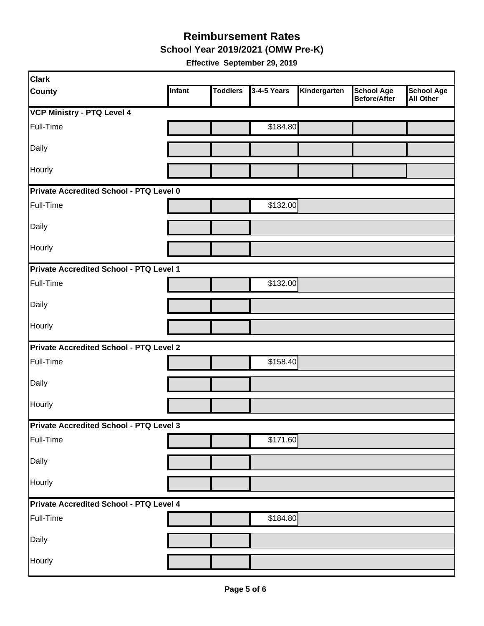**School Year 2019/2021 (OMW Pre-K)** 

| <b>Clark</b>                                   |               |                 |             |              |                                          |                                       |
|------------------------------------------------|---------------|-----------------|-------------|--------------|------------------------------------------|---------------------------------------|
| <b>County</b>                                  | <b>Infant</b> | <b>Toddlers</b> | 3-4-5 Years | Kindergarten | <b>School Age</b><br><b>Before/After</b> | <b>School Age</b><br><b>All Other</b> |
| <b>VCP Ministry - PTQ Level 4</b>              |               |                 |             |              |                                          |                                       |
| Full-Time                                      |               |                 | \$184.80    |              |                                          |                                       |
| Daily                                          |               |                 |             |              |                                          |                                       |
| Hourly                                         |               |                 |             |              |                                          |                                       |
| Private Accredited School - PTQ Level 0        |               |                 |             |              |                                          |                                       |
| Full-Time                                      |               |                 | \$132.00    |              |                                          |                                       |
| Daily                                          |               |                 |             |              |                                          |                                       |
| Hourly                                         |               |                 |             |              |                                          |                                       |
| Private Accredited School - PTQ Level 1        |               |                 |             |              |                                          |                                       |
| Full-Time                                      |               |                 | \$132.00    |              |                                          |                                       |
| Daily                                          |               |                 |             |              |                                          |                                       |
| <b>Hourly</b>                                  |               |                 |             |              |                                          |                                       |
| Private Accredited School - PTQ Level 2        |               |                 |             |              |                                          |                                       |
| Full-Time                                      |               |                 | \$158.40    |              |                                          |                                       |
| Daily                                          |               |                 |             |              |                                          |                                       |
| Hourly                                         |               |                 |             |              |                                          |                                       |
| <b>Private Accredited School - PTQ Level 3</b> |               |                 |             |              |                                          |                                       |
| Full-Time                                      |               |                 | \$171.60    |              |                                          |                                       |
| Daily                                          |               |                 |             |              |                                          |                                       |
| Hourly                                         |               |                 |             |              |                                          |                                       |
| <b>Private Accredited School - PTQ Level 4</b> |               |                 |             |              |                                          |                                       |
| Full-Time                                      |               |                 | \$184.80    |              |                                          |                                       |
| Daily                                          |               |                 |             |              |                                          |                                       |
| Hourly                                         |               |                 |             |              |                                          |                                       |